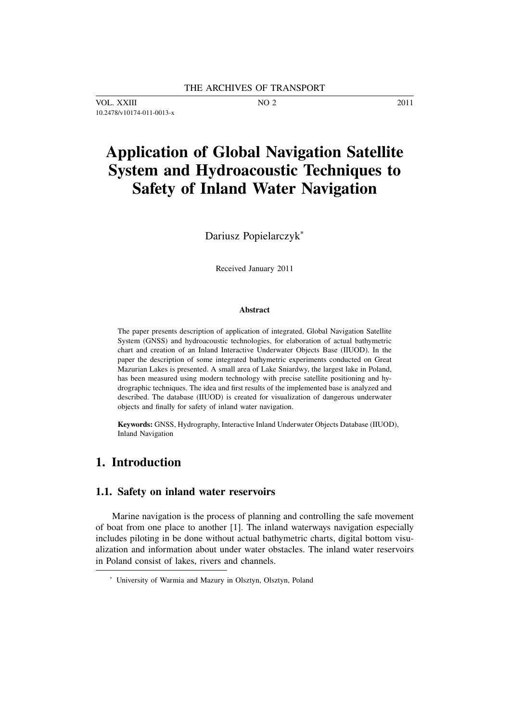VOL. XXIII NO 2 2011 10.2478/v10174-011-0013-x

# **Application of Global Navigation Satellite System and Hydroacoustic Techniques to Safety of Inland Water Navigation**

Dariusz Popielarczyk<sup>∗</sup>

Received January 2011

#### **Abstract**

The paper presents description of application of integrated, Global Navigation Satellite System (GNSS) and hydroacoustic technologies, for elaboration of actual bathymetric chart and creation of an Inland Interactive Underwater Objects Base (IIUOD). In the paper the description of some integrated bathymetric experiments conducted on Great Mazurian Lakes is presented. A small area of Lake Sniardwy, the largest lake in Poland, has been measured using modern technology with precise satellite positioning and hydrographic techniques. The idea and first results of the implemented base is analyzed and described. The database (IIUOD) is created for visualization of dangerous underwater objects and finally for safety of inland water navigation.

**Keywords:** GNSS, Hydrography, Interactive Inland Underwater Objects Database (IIUOD), Inland Navigation

## **1. Introduction**

#### **1.1. Safety on inland water reservoirs**

Marine navigation is the process of planning and controlling the safe movement of boat from one place to another [1]. The inland waterways navigation especially includes piloting in be done without actual bathymetric charts, digital bottom visualization and information about under water obstacles. The inland water reservoirs in Poland consist of lakes, rivers and channels.

<sup>∗</sup> University of Warmia and Mazury in Olsztyn, Olsztyn, Poland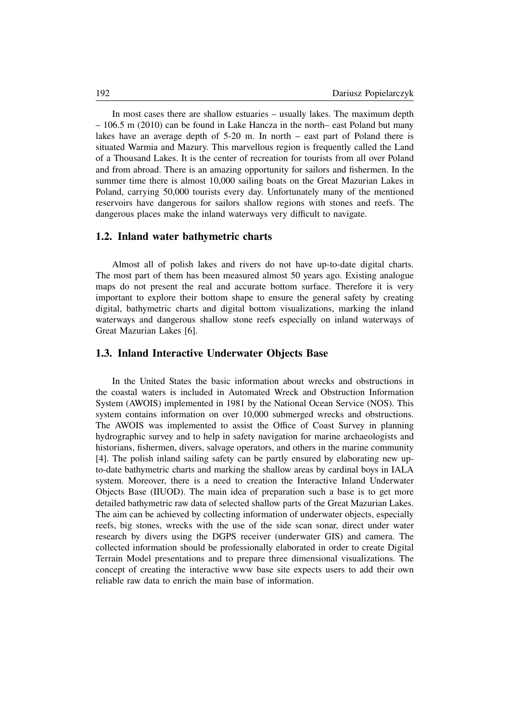In most cases there are shallow estuaries – usually lakes. The maximum depth – 106.5 m (2010) can be found in Lake Hancza in the north– east Poland but many lakes have an average depth of 5-20 m. In north – east part of Poland there is situated Warmia and Mazury. This marvellous region is frequently called the Land of a Thousand Lakes. It is the center of recreation for tourists from all over Poland and from abroad. There is an amazing opportunity for sailors and fishermen. In the summer time there is almost 10,000 sailing boats on the Great Mazurian Lakes in Poland, carrying 50,000 tourists every day. Unfortunately many of the mentioned reservoirs have dangerous for sailors shallow regions with stones and reefs. The dangerous places make the inland waterways very difficult to navigate.

#### **1.2. Inland water bathymetric charts**

Almost all of polish lakes and rivers do not have up-to-date digital charts. The most part of them has been measured almost 50 years ago. Existing analogue maps do not present the real and accurate bottom surface. Therefore it is very important to explore their bottom shape to ensure the general safety by creating digital, bathymetric charts and digital bottom visualizations, marking the inland waterways and dangerous shallow stone reefs especially on inland waterways of Great Mazurian Lakes [6].

#### **1.3. Inland Interactive Underwater Objects Base**

In the United States the basic information about wrecks and obstructions in the coastal waters is included in Automated Wreck and Obstruction Information System (AWOIS) implemented in 1981 by the National Ocean Service (NOS). This system contains information on over 10,000 submerged wrecks and obstructions. The AWOIS was implemented to assist the Office of Coast Survey in planning hydrographic survey and to help in safety navigation for marine archaeologists and historians, fishermen, divers, salvage operators, and others in the marine community [4]. The polish inland sailing safety can be partly ensured by elaborating new upto-date bathymetric charts and marking the shallow areas by cardinal boys in IALA system. Moreover, there is a need to creation the Interactive Inland Underwater Objects Base (IIUOD). The main idea of preparation such a base is to get more detailed bathymetric raw data of selected shallow parts of the Great Mazurian Lakes. The aim can be achieved by collecting information of underwater objects, especially reefs, big stones, wrecks with the use of the side scan sonar, direct under water research by divers using the DGPS receiver (underwater GIS) and camera. The collected information should be professionally elaborated in order to create Digital Terrain Model presentations and to prepare three dimensional visualizations. The concept of creating the interactive www base site expects users to add their own reliable raw data to enrich the main base of information.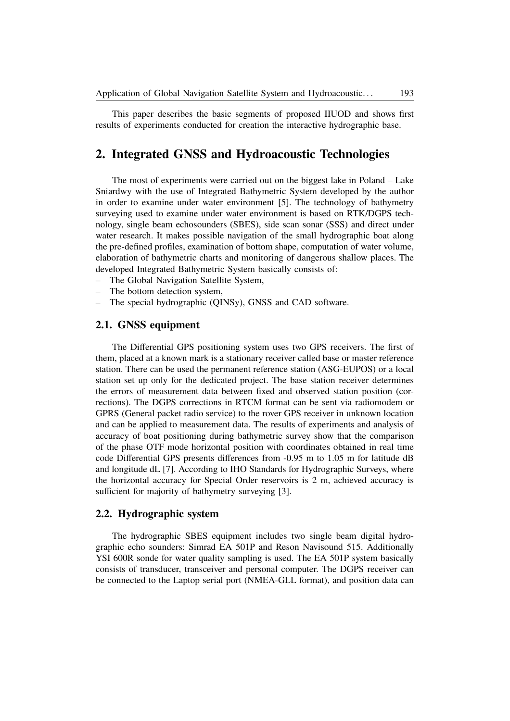This paper describes the basic segments of proposed IIUOD and shows first results of experiments conducted for creation the interactive hydrographic base.

## **2. Integrated GNSS and Hydroacoustic Technologies**

The most of experiments were carried out on the biggest lake in Poland – Lake Sniardwy with the use of Integrated Bathymetric System developed by the author in order to examine under water environment [5]. The technology of bathymetry surveying used to examine under water environment is based on RTK/DGPS technology, single beam echosounders (SBES), side scan sonar (SSS) and direct under water research. It makes possible navigation of the small hydrographic boat along the pre-defined profiles, examination of bottom shape, computation of water volume, elaboration of bathymetric charts and monitoring of dangerous shallow places. The developed Integrated Bathymetric System basically consists of:

- The Global Navigation Satellite System,
- The bottom detection system,
- The special hydrographic (QINSy), GNSS and CAD software.

#### **2.1. GNSS equipment**

The Differential GPS positioning system uses two GPS receivers. The first of them, placed at a known mark is a stationary receiver called base or master reference station. There can be used the permanent reference station (ASG-EUPOS) or a local station set up only for the dedicated project. The base station receiver determines the errors of measurement data between fixed and observed station position (corrections). The DGPS corrections in RTCM format can be sent via radiomodem or GPRS (General packet radio service) to the rover GPS receiver in unknown location and can be applied to measurement data. The results of experiments and analysis of accuracy of boat positioning during bathymetric survey show that the comparison of the phase OTF mode horizontal position with coordinates obtained in real time code Differential GPS presents differences from -0.95 m to 1.05 m for latitude dB and longitude dL [7]. According to IHO Standards for Hydrographic Surveys, where the horizontal accuracy for Special Order reservoirs is 2 m, achieved accuracy is sufficient for majority of bathymetry surveying [3].

#### **2.2. Hydrographic system**

The hydrographic SBES equipment includes two single beam digital hydrographic echo sounders: Simrad EA 501P and Reson Navisound 515. Additionally YSI 600R sonde for water quality sampling is used. The EA 501P system basically consists of transducer, transceiver and personal computer. The DGPS receiver can be connected to the Laptop serial port (NMEA-GLL format), and position data can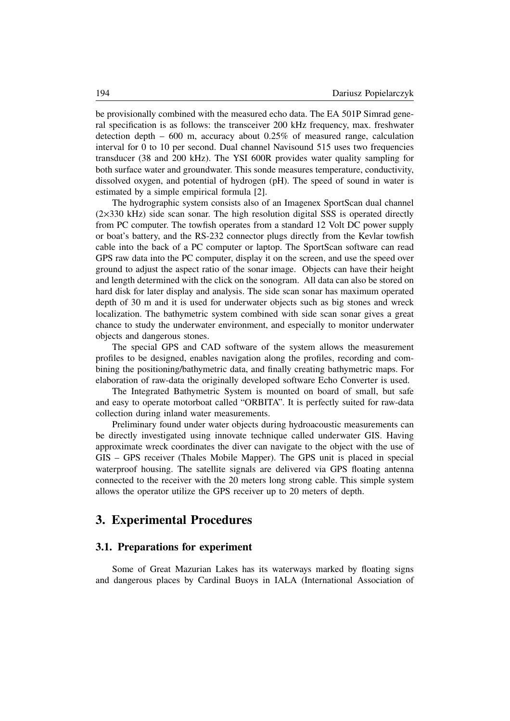be provisionally combined with the measured echo data. The EA 501P Simrad general specification is as follows: the transceiver 200 kHz frequency, max. freshwater detection depth  $-600$  m, accuracy about 0.25% of measured range, calculation interval for 0 to 10 per second. Dual channel Navisound 515 uses two frequencies transducer (38 and 200 kHz). The YSI 600R provides water quality sampling for both surface water and groundwater. This sonde measures temperature, conductivity, dissolved oxygen, and potential of hydrogen (pH). The speed of sound in water is estimated by a simple empirical formula [2].

The hydrographic system consists also of an Imagenex SportScan dual channel (2×330 kHz) side scan sonar. The high resolution digital SSS is operated directly from PC computer. The towfish operates from a standard 12 Volt DC power supply or boat's battery, and the RS-232 connector plugs directly from the Kevlar towfish cable into the back of a PC computer or laptop. The SportScan software can read GPS raw data into the PC computer, display it on the screen, and use the speed over ground to adjust the aspect ratio of the sonar image. Objects can have their height and length determined with the click on the sonogram. All data can also be stored on hard disk for later display and analysis. The side scan sonar has maximum operated depth of 30 m and it is used for underwater objects such as big stones and wreck localization. The bathymetric system combined with side scan sonar gives a great chance to study the underwater environment, and especially to monitor underwater objects and dangerous stones.

The special GPS and CAD software of the system allows the measurement profiles to be designed, enables navigation along the profiles, recording and combining the positioning/bathymetric data, and finally creating bathymetric maps. For elaboration of raw-data the originally developed software Echo Converter is used.

The Integrated Bathymetric System is mounted on board of small, but safe and easy to operate motorboat called "ORBITA". It is perfectly suited for raw-data collection during inland water measurements.

Preliminary found under water objects during hydroacoustic measurements can be directly investigated using innovate technique called underwater GIS. Having approximate wreck coordinates the diver can navigate to the object with the use of GIS – GPS receiver (Thales Mobile Mapper). The GPS unit is placed in special waterproof housing. The satellite signals are delivered via GPS floating antenna connected to the receiver with the 20 meters long strong cable. This simple system allows the operator utilize the GPS receiver up to 20 meters of depth.

## **3. Experimental Procedures**

#### **3.1. Preparations for experiment**

Some of Great Mazurian Lakes has its waterways marked by floating signs and dangerous places by Cardinal Buoys in IALA (International Association of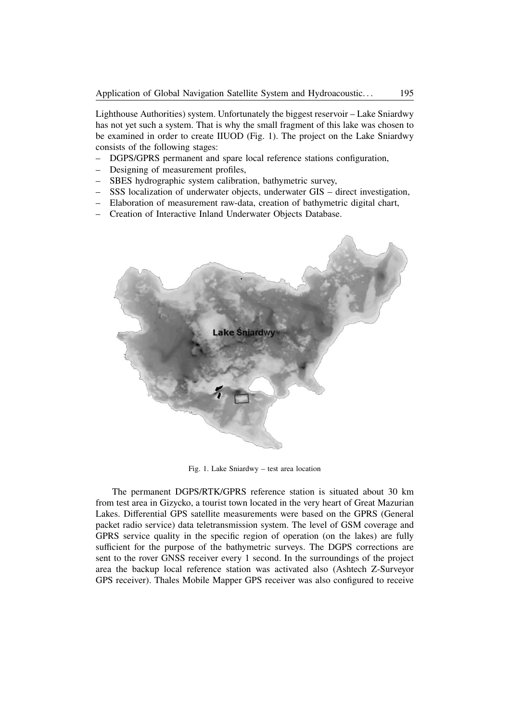Lighthouse Authorities) system. Unfortunately the biggest reservoir – Lake Sniardwy has not yet such a system. That is why the small fragment of this lake was chosen to be examined in order to create IIUOD (Fig. 1). The project on the Lake Sniardwy consists of the following stages:

- DGPS/GPRS permanent and spare local reference stations configuration,
- Designing of measurement profiles,
- SBES hydrographic system calibration, bathymetric survey,
- SSS localization of underwater objects, underwater GIS direct investigation,
- Elaboration of measurement raw-data, creation of bathymetric digital chart,
- Creation of Interactive Inland Underwater Objects Database.



Fig. 1. Lake Sniardwy – test area location

The permanent DGPS/RTK/GPRS reference station is situated about 30 km from test area in Gizycko, a tourist town located in the very heart of Great Mazurian Lakes. Differential GPS satellite measurements were based on the GPRS (General packet radio service) data teletransmission system. The level of GSM coverage and GPRS service quality in the specific region of operation (on the lakes) are fully sufficient for the purpose of the bathymetric surveys. The DGPS corrections are sent to the rover GNSS receiver every 1 second. In the surroundings of the project area the backup local reference station was activated also (Ashtech Z-Surveyor GPS receiver). Thales Mobile Mapper GPS receiver was also configured to receive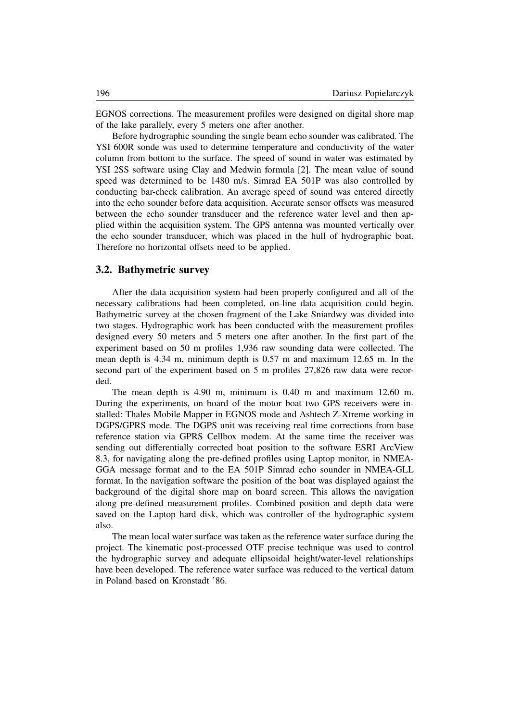EGNOS corrections. The measurement profiles were designed on digital shore map of the lake parallely, every 5 meters one after another.

Before hydrographic sounding the single beam echo sounder was calibrated. The YSI 600R sonde was used to determine temperature and conductivity of the water column from bottom to the surface. The speed of sound in water was estimated by YSI 2SS software using Clay and Medwin formula [2]. The mean value of sound speed was determined to be 1480 m/s. Simrad EA 501P was also controlled by conducting bar-check calibration. An average speed of sound was entered directly into the echo sounder before data acquisition. Accurate sensor offsets was measured between the echo sounder transducer and the reference water level and then applied within the acquisition system. The GPS antenna was mounted vertically over the echo sounder transducer, which was placed in the hull of hydrographic boat. Therefore no horizontal offsets need to be applied.

#### **3.2. Bathymetric survey**

After the data acquisition system had been properly configured and all of the necessary calibrations had been completed, on-line data acquisition could begin. Bathymetric survey at the chosen fragment of the Lake Sniardwy was divided into two stages. Hydrographic work has been conducted with the measurement profiles designed every 50 meters and 5 meters one after another. In the first part of the experiment based on 50 m profiles 1,936 raw sounding data were collected. The mean depth is 4.34 m, minimum depth is 0.57 m and maximum 12.65 m. In the second part of the experiment based on 5 m profiles 27,826 raw data were recorded.

The mean depth is 4.90 m, minimum is 0.40 m and maximum 12.60 m. During the experiments, on board of the motor boat two GPS receivers were installed: Thales Mobile Mapper in EGNOS mode and Ashtech Z-Xtreme working in DGPS/GPRS mode. The DGPS unit was receiving real time corrections from base reference station via GPRS Cellbox modem. At the same time the receiver was sending out differentially corrected boat position to the software ESRI ArcView 8.3, for navigating along the pre-defined profiles using Laptop monitor, in NMEA-GGA message format and to the EA 501P Simrad echo sounder in NMEA-GLL format. In the navigation software the position of the boat was displayed against the background of the digital shore map on board screen. This allows the navigation along pre-defined measurement profiles. Combined position and depth data were saved on the Laptop hard disk, which was controller of the hydrographic system also.

The mean local water surface was taken as the reference water surface during the project. The kinematic post-processed OTF precise technique was used to control the hydrographic survey and adequate ellipsoidal height/water-level relationships have been developed. The reference water surface was reduced to the vertical datum in Poland based on Kronstadt '86.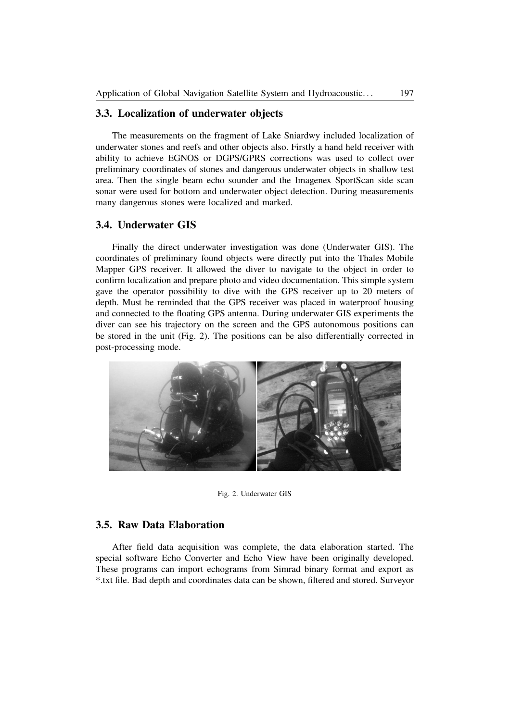#### **3.3. Localization of underwater objects**

The measurements on the fragment of Lake Sniardwy included localization of underwater stones and reefs and other objects also. Firstly a hand held receiver with ability to achieve EGNOS or DGPS/GPRS corrections was used to collect over preliminary coordinates of stones and dangerous underwater objects in shallow test area. Then the single beam echo sounder and the Imagenex SportScan side scan sonar were used for bottom and underwater object detection. During measurements many dangerous stones were localized and marked.

#### **3.4. Underwater GIS**

Finally the direct underwater investigation was done (Underwater GIS). The coordinates of preliminary found objects were directly put into the Thales Mobile Mapper GPS receiver. It allowed the diver to navigate to the object in order to confirm localization and prepare photo and video documentation. This simple system gave the operator possibility to dive with the GPS receiver up to 20 meters of depth. Must be reminded that the GPS receiver was placed in waterproof housing and connected to the floating GPS antenna. During underwater GIS experiments the diver can see his trajectory on the screen and the GPS autonomous positions can be stored in the unit (Fig. 2). The positions can be also differentially corrected in post-processing mode.



Fig. 2. Underwater GIS

### **3.5. Raw Data Elaboration**

After field data acquisition was complete, the data elaboration started. The special software Echo Converter and Echo View have been originally developed. These programs can import echograms from Simrad binary format and export as \*.txt file. Bad depth and coordinates data can be shown, filtered and stored. Surveyor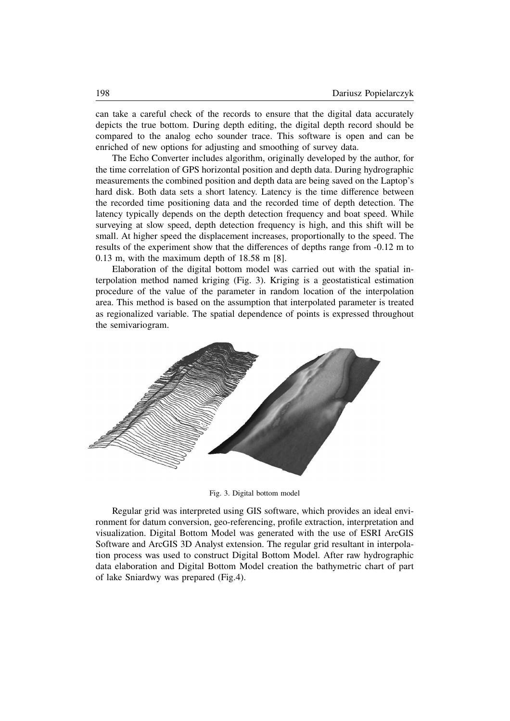can take a careful check of the records to ensure that the digital data accurately depicts the true bottom. During depth editing, the digital depth record should be compared to the analog echo sounder trace. This software is open and can be enriched of new options for adjusting and smoothing of survey data.

The Echo Converter includes algorithm, originally developed by the author, for the time correlation of GPS horizontal position and depth data. During hydrographic measurements the combined position and depth data are being saved on the Laptop's hard disk. Both data sets a short latency. Latency is the time difference between the recorded time positioning data and the recorded time of depth detection. The latency typically depends on the depth detection frequency and boat speed. While surveying at slow speed, depth detection frequency is high, and this shift will be small. At higher speed the displacement increases, proportionally to the speed. The results of the experiment show that the differences of depths range from -0.12 m to 0.13 m, with the maximum depth of 18.58 m [8].

Elaboration of the digital bottom model was carried out with the spatial interpolation method named kriging (Fig. 3). Kriging is a geostatistical estimation procedure of the value of the parameter in random location of the interpolation area. This method is based on the assumption that interpolated parameter is treated as regionalized variable. The spatial dependence of points is expressed throughout the semivariogram.



Fig. 3. Digital bottom model

Regular grid was interpreted using GIS software, which provides an ideal environment for datum conversion, geo-referencing, profile extraction, interpretation and visualization. Digital Bottom Model was generated with the use of ESRI ArcGIS Software and ArcGIS 3D Analyst extension. The regular grid resultant in interpolation process was used to construct Digital Bottom Model. After raw hydrographic data elaboration and Digital Bottom Model creation the bathymetric chart of part of lake Sniardwy was prepared (Fig.4).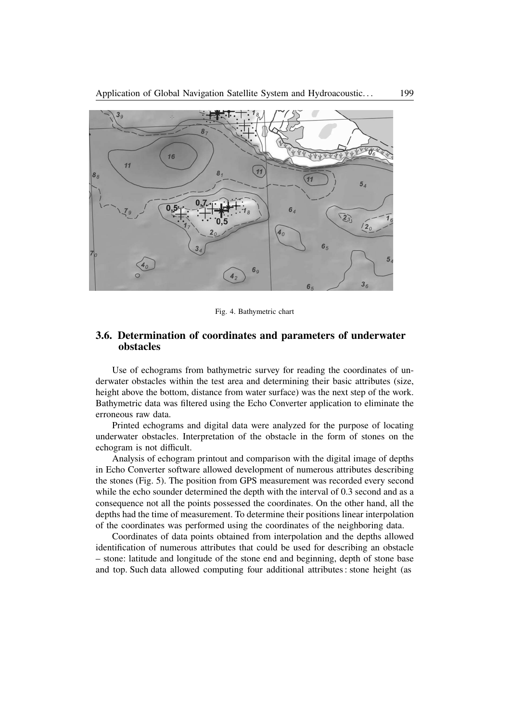

Fig. 4. Bathymetric chart

### **3.6. Determination of coordinates and parameters of underwater obstacles**

Use of echograms from bathymetric survey for reading the coordinates of underwater obstacles within the test area and determining their basic attributes (size, height above the bottom, distance from water surface) was the next step of the work. Bathymetric data was filtered using the Echo Converter application to eliminate the erroneous raw data.

Printed echograms and digital data were analyzed for the purpose of locating underwater obstacles. Interpretation of the obstacle in the form of stones on the echogram is not difficult.

Analysis of echogram printout and comparison with the digital image of depths in Echo Converter software allowed development of numerous attributes describing the stones (Fig. 5). The position from GPS measurement was recorded every second while the echo sounder determined the depth with the interval of 0.3 second and as a consequence not all the points possessed the coordinates. On the other hand, all the depths had the time of measurement. To determine their positions linear interpolation of the coordinates was performed using the coordinates of the neighboring data.

Coordinates of data points obtained from interpolation and the depths allowed identification of numerous attributes that could be used for describing an obstacle – stone: latitude and longitude of the stone end and beginning, depth of stone base and top. Such data allowed computing four additional attributes: stone height (as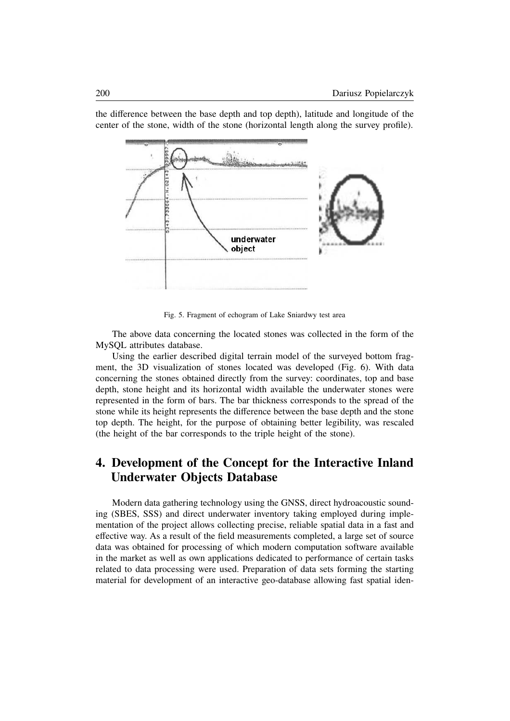underwater object

the difference between the base depth and top depth), latitude and longitude of the center of the stone, width of the stone (horizontal length along the survey profile).

Fig. 5. Fragment of echogram of Lake Sniardwy test area

The above data concerning the located stones was collected in the form of the MySQL attributes database.

Using the earlier described digital terrain model of the surveyed bottom fragment, the 3D visualization of stones located was developed (Fig. 6). With data concerning the stones obtained directly from the survey: coordinates, top and base depth, stone height and its horizontal width available the underwater stones were represented in the form of bars. The bar thickness corresponds to the spread of the stone while its height represents the difference between the base depth and the stone top depth. The height, for the purpose of obtaining better legibility, was rescaled (the height of the bar corresponds to the triple height of the stone).

## **4. Development of the Concept for the Interactive Inland Underwater Objects Database**

Modern data gathering technology using the GNSS, direct hydroacoustic sounding (SBES, SSS) and direct underwater inventory taking employed during implementation of the project allows collecting precise, reliable spatial data in a fast and effective way. As a result of the field measurements completed, a large set of source data was obtained for processing of which modern computation software available in the market as well as own applications dedicated to performance of certain tasks related to data processing were used. Preparation of data sets forming the starting material for development of an interactive geo-database allowing fast spatial iden-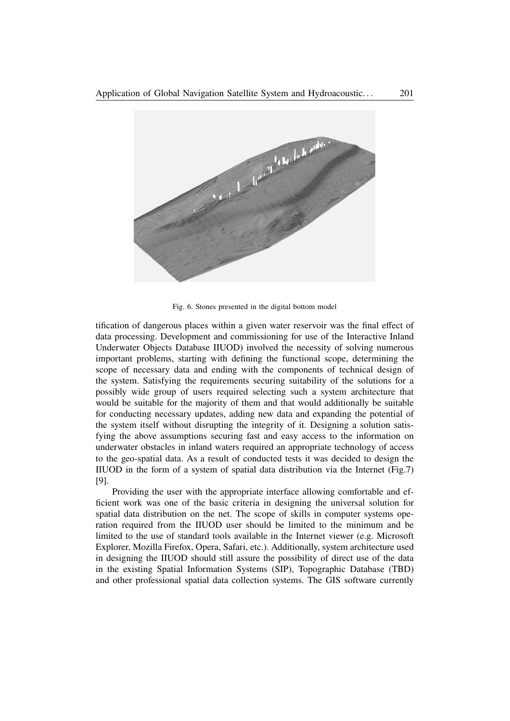

Fig. 6. Stones presented in the digital bottom model

tification of dangerous places within a given water reservoir was the final effect of data processing. Development and commissioning for use of the Interactive Inland Underwater Objects Database IIUOD) involved the necessity of solving numerous important problems, starting with defining the functional scope, determining the scope of necessary data and ending with the components of technical design of the system. Satisfying the requirements securing suitability of the solutions for a possibly wide group of users required selecting such a system architecture that would be suitable for the majority of them and that would additionally be suitable for conducting necessary updates, adding new data and expanding the potential of the system itself without disrupting the integrity of it. Designing a solution satisfying the above assumptions securing fast and easy access to the information on underwater obstacles in inland waters required an appropriate technology of access to the geo-spatial data. As a result of conducted tests it was decided to design the IIUOD in the form of a system of spatial data distribution via the Internet (Fig.7) [9].

Providing the user with the appropriate interface allowing comfortable and efficient work was one of the basic criteria in designing the universal solution for spatial data distribution on the net. The scope of skills in computer systems operation required from the IIUOD user should be limited to the minimum and be limited to the use of standard tools available in the Internet viewer (e.g. Microsoft Explorer, Mozilla Firefox, Opera, Safari, etc.). Additionally, system architecture used in designing the IIUOD should still assure the possibility of direct use of the data in the existing Spatial Information Systems (SIP), Topographic Database (TBD) and other professional spatial data collection systems. The GIS software currently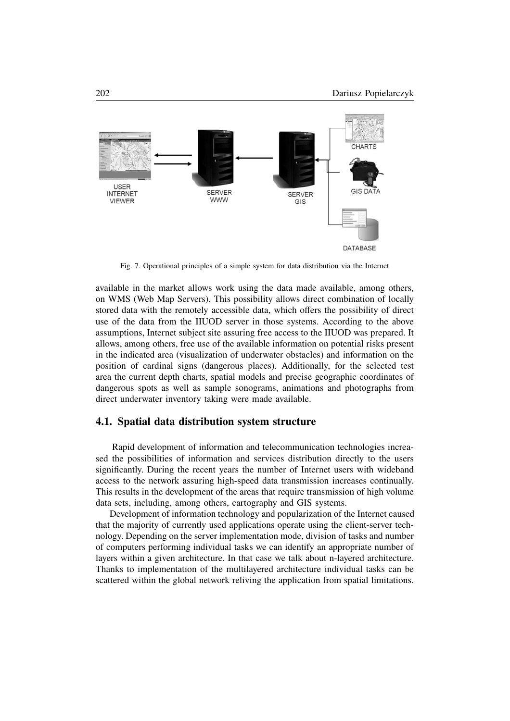

Fig. 7. Operational principles of a simple system for data distribution via the Internet

available in the market allows work using the data made available, among others, on WMS (Web Map Servers). This possibility allows direct combination of locally stored data with the remotely accessible data, which offers the possibility of direct use of the data from the IIUOD server in those systems. According to the above assumptions, Internet subject site assuring free access to the IIUOD was prepared. It allows, among others, free use of the available information on potential risks present in the indicated area (visualization of underwater obstacles) and information on the position of cardinal signs (dangerous places). Additionally, for the selected test area the current depth charts, spatial models and precise geographic coordinates of dangerous spots as well as sample sonograms, animations and photographs from direct underwater inventory taking were made available.

#### **4.1. Spatial data distribution system structure**

Rapid development of information and telecommunication technologies increased the possibilities of information and services distribution directly to the users significantly. During the recent years the number of Internet users with wideband access to the network assuring high-speed data transmission increases continually. This results in the development of the areas that require transmission of high volume data sets, including, among others, cartography and GIS systems.

Development of information technology and popularization of the Internet caused that the majority of currently used applications operate using the client-server technology. Depending on the server implementation mode, division of tasks and number of computers performing individual tasks we can identify an appropriate number of layers within a given architecture. In that case we talk about n-layered architecture. Thanks to implementation of the multilayered architecture individual tasks can be scattered within the global network reliving the application from spatial limitations.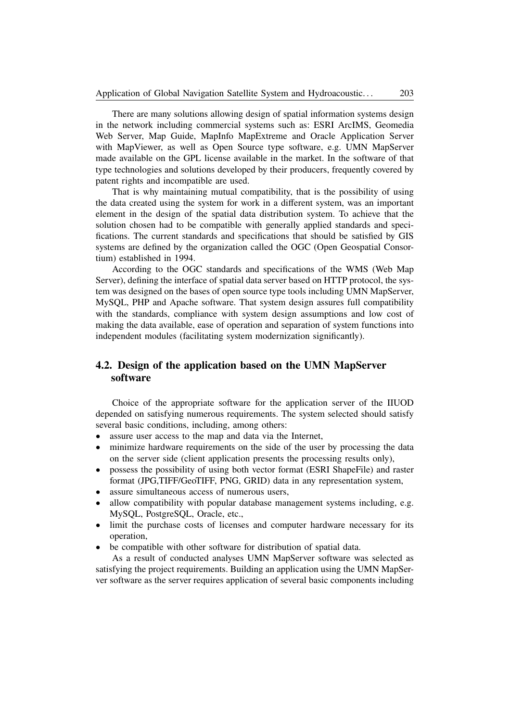There are many solutions allowing design of spatial information systems design in the network including commercial systems such as: ESRI ArcIMS, Geomedia Web Server, Map Guide, MapInfo MapExtreme and Oracle Application Server with MapViewer, as well as Open Source type software, e.g. UMN MapServer made available on the GPL license available in the market. In the software of that type technologies and solutions developed by their producers, frequently covered by patent rights and incompatible are used.

That is why maintaining mutual compatibility, that is the possibility of using the data created using the system for work in a different system, was an important element in the design of the spatial data distribution system. To achieve that the solution chosen had to be compatible with generally applied standards and specifications. The current standards and specifications that should be satisfied by GIS systems are defined by the organization called the OGC (Open Geospatial Consortium) established in 1994.

According to the OGC standards and specifications of the WMS (Web Map Server), defining the interface of spatial data server based on HTTP protocol, the system was designed on the bases of open source type tools including UMN MapServer, MySQL, PHP and Apache software. That system design assures full compatibility with the standards, compliance with system design assumptions and low cost of making the data available, ease of operation and separation of system functions into independent modules (facilitating system modernization significantly).

## **4.2. Design of the application based on the UMN MapServer software**

Choice of the appropriate software for the application server of the IIUOD depended on satisfying numerous requirements. The system selected should satisfy several basic conditions, including, among others:

- assure user access to the map and data via the Internet,
- minimize hardware requirements on the side of the user by processing the data on the server side (client application presents the processing results only),
- possess the possibility of using both vector format (ESRI ShapeFile) and raster format (JPG,TIFF/GeoTIFF, PNG, GRID) data in any representation system,
- assure simultaneous access of numerous users,
- allow compatibility with popular database management systems including, e.g. MySQL, PostgreSQL, Oracle, etc.,
- limit the purchase costs of licenses and computer hardware necessary for its operation,
- be compatible with other software for distribution of spatial data.

As a result of conducted analyses UMN MapServer software was selected as satisfying the project requirements. Building an application using the UMN MapServer software as the server requires application of several basic components including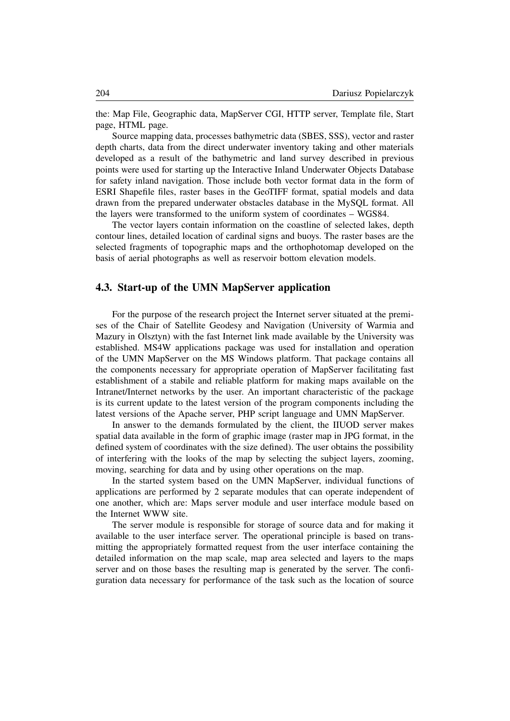the: Map File, Geographic data, MapServer CGI, HTTP server, Template file, Start page, HTML page.

Source mapping data, processes bathymetric data (SBES, SSS), vector and raster depth charts, data from the direct underwater inventory taking and other materials developed as a result of the bathymetric and land survey described in previous points were used for starting up the Interactive Inland Underwater Objects Database for safety inland navigation. Those include both vector format data in the form of ESRI Shapefile files, raster bases in the GeoTIFF format, spatial models and data drawn from the prepared underwater obstacles database in the MySQL format. All the layers were transformed to the uniform system of coordinates – WGS84.

The vector layers contain information on the coastline of selected lakes, depth contour lines, detailed location of cardinal signs and buoys. The raster bases are the selected fragments of topographic maps and the orthophotomap developed on the basis of aerial photographs as well as reservoir bottom elevation models.

#### **4.3. Start-up of the UMN MapServer application**

For the purpose of the research project the Internet server situated at the premises of the Chair of Satellite Geodesy and Navigation (University of Warmia and Mazury in Olsztyn) with the fast Internet link made available by the University was established. MS4W applications package was used for installation and operation of the UMN MapServer on the MS Windows platform. That package contains all the components necessary for appropriate operation of MapServer facilitating fast establishment of a stabile and reliable platform for making maps available on the Intranet/Internet networks by the user. An important characteristic of the package is its current update to the latest version of the program components including the latest versions of the Apache server, PHP script language and UMN MapServer.

In answer to the demands formulated by the client, the IIUOD server makes spatial data available in the form of graphic image (raster map in JPG format, in the defined system of coordinates with the size defined). The user obtains the possibility of interfering with the looks of the map by selecting the subject layers, zooming, moving, searching for data and by using other operations on the map.

In the started system based on the UMN MapServer, individual functions of applications are performed by 2 separate modules that can operate independent of one another, which are: Maps server module and user interface module based on the Internet WWW site.

The server module is responsible for storage of source data and for making it available to the user interface server. The operational principle is based on transmitting the appropriately formatted request from the user interface containing the detailed information on the map scale, map area selected and layers to the maps server and on those bases the resulting map is generated by the server. The configuration data necessary for performance of the task such as the location of source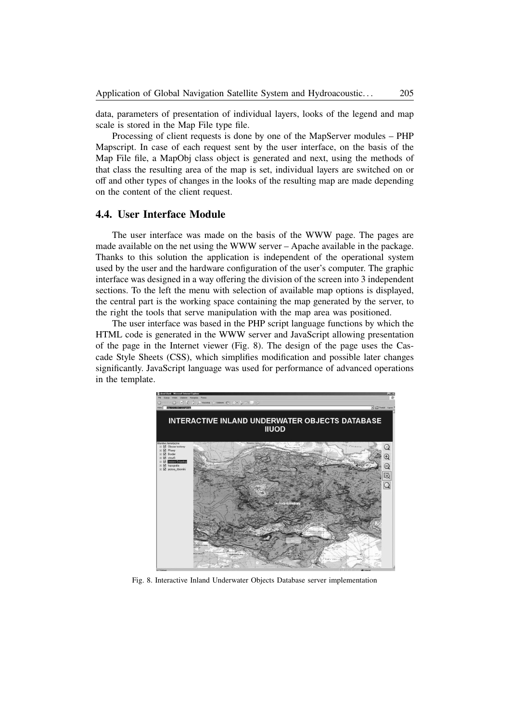data, parameters of presentation of individual layers, looks of the legend and map scale is stored in the Map File type file.

Processing of client requests is done by one of the MapServer modules – PHP Mapscript. In case of each request sent by the user interface, on the basis of the Map File file, a MapObj class object is generated and next, using the methods of that class the resulting area of the map is set, individual layers are switched on or off and other types of changes in the looks of the resulting map are made depending on the content of the client request.

#### **4.4. User Interface Module**

The user interface was made on the basis of the WWW page. The pages are made available on the net using the WWW server – Apache available in the package. Thanks to this solution the application is independent of the operational system used by the user and the hardware configuration of the user's computer. The graphic interface was designed in a way offering the division of the screen into 3 independent sections. To the left the menu with selection of available map options is displayed, the central part is the working space containing the map generated by the server, to the right the tools that serve manipulation with the map area was positioned.

The user interface was based in the PHP script language functions by which the HTML code is generated in the WWW server and JavaScript allowing presentation of the page in the Internet viewer (Fig. 8). The design of the page uses the Cascade Style Sheets (CSS), which simplifies modification and possible later changes significantly. JavaScript language was used for performance of advanced operations in the template.



Fig. 8. Interactive Inland Underwater Objects Database server implementation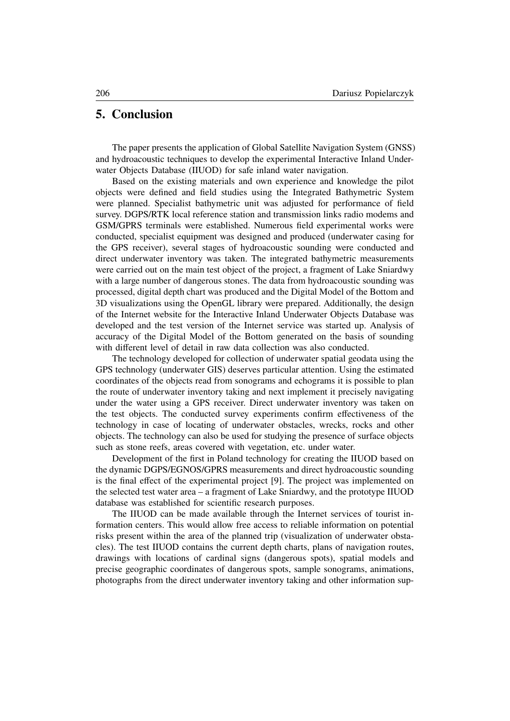## **5. Conclusion**

The paper presents the application of Global Satellite Navigation System (GNSS) and hydroacoustic techniques to develop the experimental Interactive Inland Underwater Objects Database (IIUOD) for safe inland water navigation.

Based on the existing materials and own experience and knowledge the pilot objects were defined and field studies using the Integrated Bathymetric System were planned. Specialist bathymetric unit was adjusted for performance of field survey. DGPS/RTK local reference station and transmission links radio modems and GSM/GPRS terminals were established. Numerous field experimental works were conducted, specialist equipment was designed and produced (underwater casing for the GPS receiver), several stages of hydroacoustic sounding were conducted and direct underwater inventory was taken. The integrated bathymetric measurements were carried out on the main test object of the project, a fragment of Lake Sniardwy with a large number of dangerous stones. The data from hydroacoustic sounding was processed, digital depth chart was produced and the Digital Model of the Bottom and 3D visualizations using the OpenGL library were prepared. Additionally, the design of the Internet website for the Interactive Inland Underwater Objects Database was developed and the test version of the Internet service was started up. Analysis of accuracy of the Digital Model of the Bottom generated on the basis of sounding with different level of detail in raw data collection was also conducted.

The technology developed for collection of underwater spatial geodata using the GPS technology (underwater GIS) deserves particular attention. Using the estimated coordinates of the objects read from sonograms and echograms it is possible to plan the route of underwater inventory taking and next implement it precisely navigating under the water using a GPS receiver. Direct underwater inventory was taken on the test objects. The conducted survey experiments confirm effectiveness of the technology in case of locating of underwater obstacles, wrecks, rocks and other objects. The technology can also be used for studying the presence of surface objects such as stone reefs, areas covered with vegetation, etc. under water.

Development of the first in Poland technology for creating the IIUOD based on the dynamic DGPS/EGNOS/GPRS measurements and direct hydroacoustic sounding is the final effect of the experimental project [9]. The project was implemented on the selected test water area – a fragment of Lake Sniardwy, and the prototype IIUOD database was established for scientific research purposes.

The IIUOD can be made available through the Internet services of tourist information centers. This would allow free access to reliable information on potential risks present within the area of the planned trip (visualization of underwater obstacles). The test IIUOD contains the current depth charts, plans of navigation routes, drawings with locations of cardinal signs (dangerous spots), spatial models and precise geographic coordinates of dangerous spots, sample sonograms, animations, photographs from the direct underwater inventory taking and other information sup